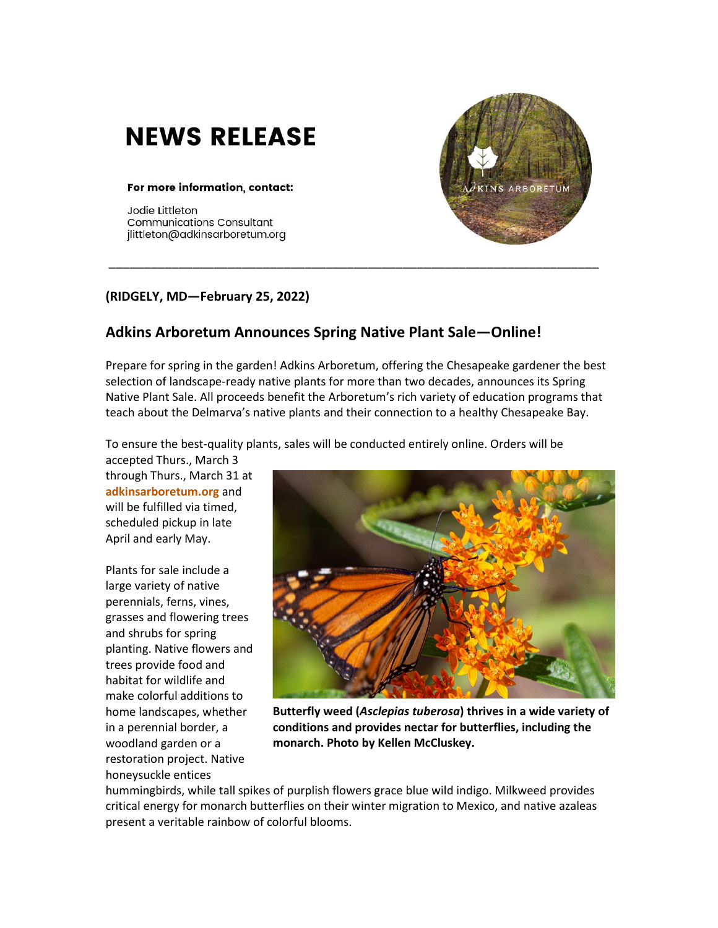## **NEWS RELEASE**

## For more information, contact:

Jodie Littleton **Communications Consultant** jlittleton@adkinsarboretum.org

## **(RIDGELY, MD—February 25, 2022)**

## **Adkins Arboretum Announces Spring Native Plant Sale—Online!**

Prepare for spring in the garden! Adkins Arboretum, offering the Chesapeake gardener the best selection of landscape-ready native plants for more than two decades, announces its Spring Native Plant Sale. All proceeds benefit the Arboretum's rich variety of education programs that teach about the Delmarva's native plants and their connection to a healthy Chesapeake Bay.

\_\_\_\_\_\_\_\_\_\_\_\_\_\_\_\_\_\_\_\_\_\_\_\_\_\_\_\_\_\_\_\_\_\_\_\_\_\_\_\_\_\_\_\_\_\_\_\_\_\_\_\_\_\_\_\_\_\_\_\_\_\_\_\_\_\_\_\_\_\_

To ensure the best-quality plants, sales will be conducted entirely online. Orders will be

accepted Thurs., March 3 through Thurs., March 31 at **[adkinsarboretum.org](http://www.adkinsarboretum.org/)** and will be fulfilled via timed, scheduled pickup in late April and early May.

Plants for sale include a large variety of native perennials, ferns, vines, grasses and flowering trees and shrubs for spring planting. Native flowers and trees provide food and habitat for wildlife and make colorful additions to home landscapes, whether in a perennial border, a woodland garden or a restoration project. Native honeysuckle entices



**Butterfly weed (***Asclepias tuberosa***) thrives in a wide variety of conditions and provides nectar for butterflies, including the monarch. Photo by Kellen McCluskey.**

hummingbirds, while tall spikes of purplish flowers grace blue wild indigo. Milkweed provides critical energy for monarch butterflies on their winter migration to Mexico, and native azaleas present a veritable rainbow of colorful blooms.